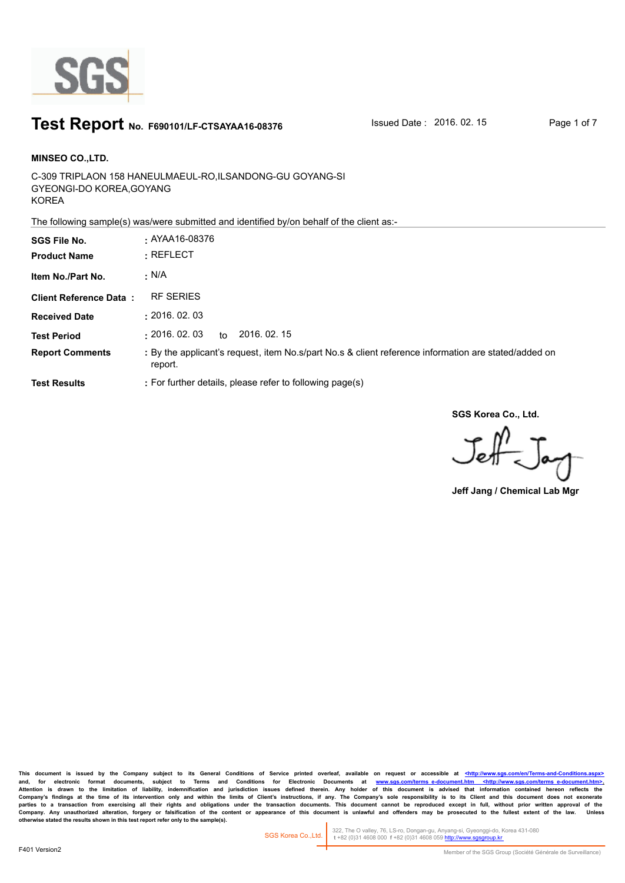

### **Test Report** No. F690101/LF-CTSAYAA16-08376 **ISSued Date : 2016. 02. 15** Page 1 of 7

C-309 TRIPLAON 158 HANEULMAEUL-RO,ILSANDONG-GU GOYANG-SI GYEONGI-DO KOREA,GOYANG KOREA **MINSEO CO.,LTD. SGS File No. :** AYAA16-08376

The following sample(s) was/were submitted and identified by/on behalf of the client as:-

| <b>SGS File No.</b><br><b>Product Name</b> | $\cdot$ AYAA16-08376<br>$:$ REFLECT                                                                             |
|--------------------------------------------|-----------------------------------------------------------------------------------------------------------------|
| Item No./Part No.                          | $\cdot$ N/A                                                                                                     |
| <b>Client Reference Data:</b>              | <b>RF SERIES</b>                                                                                                |
| <b>Received Date</b>                       | : 2016.02.03                                                                                                    |
| <b>Test Period</b>                         | : 2016.02.03<br>2016, 02, 15<br>to                                                                              |
| <b>Report Comments</b>                     | : By the applicant's request, item No.s/part No.s & client reference information are stated/added on<br>report. |
| <b>Test Results</b>                        | : For further details, please refer to following page(s)                                                        |

**SGS Korea Co., Ltd.**

 $J_{\rm eff}$ 

**Jeff Jang / Chemical Lab Mgr**

This document is issued by the Company subject to its General Conditions of Service printed overleaf, available on request or accessible at <http://www.sgs.com/en/Terms-and-C and, for electronic format documents, subject to Terms and Conditions for Electronic Documents at <u>www.sgs.com/terms\_e-document.htm <http://www.sgs.com/terms\_e-document.htm>-</u><br>Attention is drawn to the limitation of liabil Company's findings at the time of its intervention only and within the limits of Client's instructions, if any. The Company's sole responsibility is to its Client and this document does not exonerate<br>parties to a transacti Company. Any unauthorized alteration, forgery or falsification of the content or appearance of this document is unlawful and offenders may be prosecuted to the fullest extent of the law. Unless otherwise stated the results

322, The O valley, 76, LS-ro, Dongan-gu, Anyang-si, Gyeonggi-do, Korea 431-080  **t** +82 (0)31 4608 000 **f** +82 (0)31 4608 059 http://www.sgsgroup.kr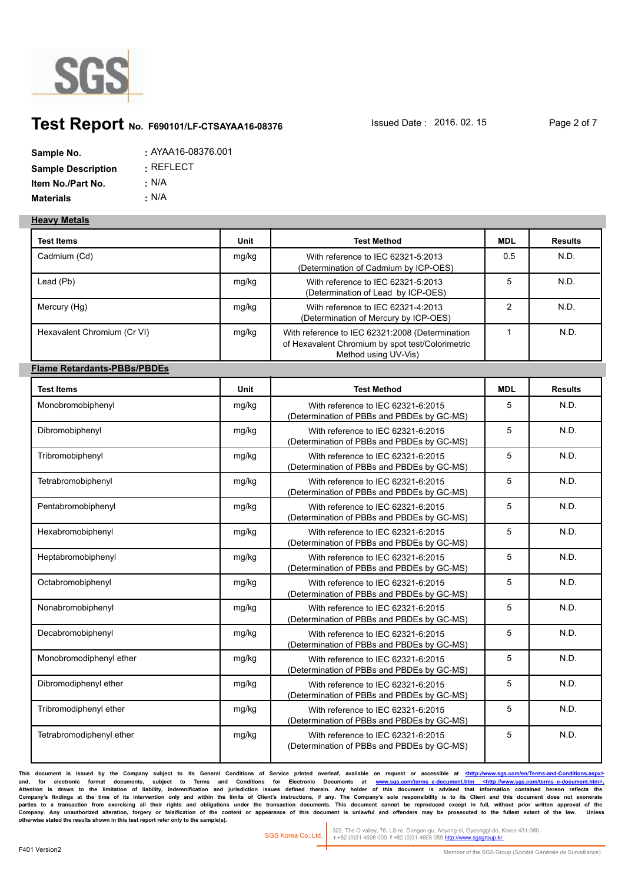

## **Test Report** No. F690101/LF-CTSAYAA16-08376 **Issued Date : 2016. 02. 15** Page 2 of 7

| Sample No.                | : AYAA16-08376.001  |
|---------------------------|---------------------|
| <b>Sample Description</b> | $\,$ : REFLECT $\,$ |
| Item No./Part No.         | : N/A               |
| <b>Materials</b>          | ∴ N/A               |

#### **Heavy Metals**

| <b>Test Items</b>                  | Unit  | <b>Test Method</b>                                                                                                          | <b>MDL</b>     | <b>Results</b> |
|------------------------------------|-------|-----------------------------------------------------------------------------------------------------------------------------|----------------|----------------|
| Cadmium (Cd)                       | mg/kg | With reference to IEC 62321-5:2013<br>(Determination of Cadmium by ICP-OES)                                                 | 0.5            | N.D.           |
| Lead (Pb)                          | mg/kg | With reference to IEC 62321-5:2013<br>(Determination of Lead by ICP-OES)                                                    | 5              | N.D.           |
| Mercury (Hg)                       | mg/kg | With reference to IEC 62321-4:2013<br>(Determination of Mercury by ICP-OES)                                                 | $\overline{2}$ | N.D.           |
| Hexavalent Chromium (Cr VI)        | mg/kg | With reference to IEC 62321:2008 (Determination<br>of Hexavalent Chromium by spot test/Colorimetric<br>Method using UV-Vis) | $\mathbf{1}$   | N.D.           |
| <b>Flame Retardants-PBBs/PBDEs</b> |       |                                                                                                                             |                |                |
| <b>Test Items</b>                  | Unit  | <b>Test Method</b>                                                                                                          | <b>MDL</b>     | <b>Results</b> |
| Monobromobiphenyl                  | mg/kg | With reference to IEC 62321-6:2015<br>(Determination of PBBs and PBDEs by GC-MS)                                            | 5              | N.D.           |
| Dibromobiphenyl                    | mg/kg | With reference to IEC 62321-6:2015<br>(Determination of PBBs and PBDEs by GC-MS)                                            | 5              | N.D.           |
| Tribromobiphenyl                   | mg/kg | With reference to IEC 62321-6:2015<br>(Determination of PBBs and PBDEs by GC-MS)                                            | 5              | N.D.           |
| Tetrabromobiphenyl                 | mg/kg | With reference to IEC 62321-6:2015<br>(Determination of PBBs and PBDEs by GC-MS)                                            | 5              | N.D.           |
| Pentabromobiphenyl                 | mg/kg | With reference to IEC 62321-6:2015<br>(Determination of PBBs and PBDEs by GC-MS)                                            | 5              | N.D.           |
| Hexabromobiphenyl                  | mg/kg | With reference to IEC 62321-6:2015<br>(Determination of PBBs and PBDEs by GC-MS)                                            | 5              | N.D.           |
| Heptabromobiphenyl                 | mg/kg | With reference to IEC 62321-6:2015<br>(Determination of PBBs and PBDEs by GC-MS)                                            | 5              | N.D.           |
| Octabromobiphenyl                  | mg/kg | With reference to IEC 62321-6:2015<br>(Determination of PBBs and PBDEs by GC-MS)                                            | 5              | N.D.           |
| Nonabromobiphenyl                  | mg/kg | With reference to IEC 62321-6:2015<br>(Determination of PBBs and PBDEs by GC-MS)                                            | 5              | N.D.           |
| Decabromobiphenyl                  | mg/kg | With reference to IEC 62321-6:2015<br>(Determination of PBBs and PBDEs by GC-MS)                                            | 5              | N.D.           |
| Monobromodiphenyl ether            | mg/kg | With reference to IEC 62321-6:2015<br>(Determination of PBBs and PBDEs by GC-MS)                                            | 5              | N.D.           |
| Dibromodiphenyl ether              | mg/kg | With reference to IEC 62321-6:2015<br>(Determination of PBBs and PBDEs by GC-MS)                                            | 5              | N.D.           |
| Tribromodiphenyl ether             | mg/kg | With reference to IEC 62321-6:2015<br>(Determination of PBBs and PBDEs by GC-MS)                                            | 5              | N.D.           |
| Tetrabromodiphenyl ether           | mg/kg | With reference to IEC 62321-6:2015<br>(Determination of PBBs and PBDEs by GC-MS)                                            | 5              | N.D.           |

This document is issued by the Company subject to its General Conditions of Service printed overleaf, available on request or accessible at <http://www.sgs.com/en/Terms-and-Conditions. and, for electronic format documents, subject to Terms and Conditions for Electronic Documents at <u>www.sgs.com/terms\_e-document.htm <http://www.sgs.com/terms\_e-document.htm>-</u><br>Attention is drawn to the limitation of liabil Company's findings at the time of its intervention only and within the limits of Client's instructions, if any. The Company's sole responsibility is to its Client and this document does not exonerate<br>parties to a transacti Company. Any unauthorized alteration, forgery or falsification of the content or appearance of this document is unlawful and offenders may be prosecuted to the fullest extent of the law. Unless otherwise stated the results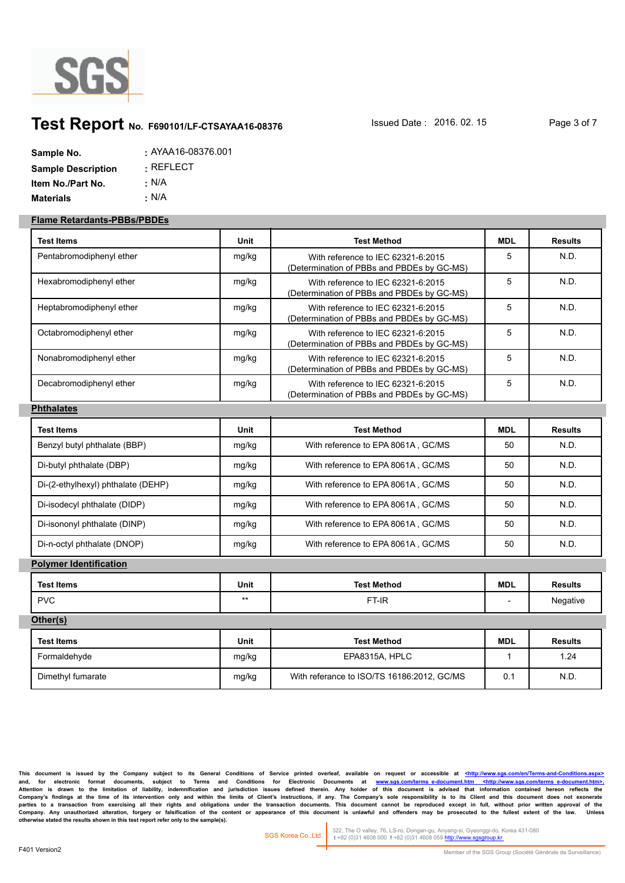

# **Test Report** No. F690101/LF-CTSAYAA16-08376 **ISSued Date : 2016. 02. 15** Page 3 of 7

| Sample No.                | $: AYAA16-08376.001$ |
|---------------------------|----------------------|
| <b>Sample Description</b> | $\cdot$ REFLECT.     |
| Item No./Part No.         | : N/A                |
| <b>Materials</b>          | ∴ N/A                |

#### **Flame Retardants-PBBs/PBDEs**

| Test Items                         | Unit  | <b>Test Method</b>                                                               | <b>MDL</b>   | <b>Results</b> |
|------------------------------------|-------|----------------------------------------------------------------------------------|--------------|----------------|
| Pentabromodiphenyl ether           | mg/kg | With reference to IEC 62321-6:2015<br>(Determination of PBBs and PBDEs by GC-MS) | 5            | N.D.           |
| Hexabromodiphenyl ether            | mg/kg | With reference to IEC 62321-6:2015<br>(Determination of PBBs and PBDEs by GC-MS) | 5            | N.D.           |
| Heptabromodiphenyl ether           | mg/kg | With reference to IEC 62321-6:2015<br>(Determination of PBBs and PBDEs by GC-MS) | 5            | N.D.           |
| Octabromodiphenyl ether            | mg/kg | With reference to IEC 62321-6:2015<br>(Determination of PBBs and PBDEs by GC-MS) | 5            | N.D.           |
| Nonabromodiphenyl ether            | mg/kg | With reference to IEC 62321-6:2015<br>(Determination of PBBs and PBDEs by GC-MS) | 5            | N.D.           |
| Decabromodiphenyl ether            | mg/kg | With reference to IEC 62321-6:2015<br>(Determination of PBBs and PBDEs by GC-MS) | 5            | N.D.           |
| <b>Phthalates</b>                  |       |                                                                                  |              |                |
| Test Items                         | Unit  | <b>Test Method</b>                                                               | <b>MDL</b>   | <b>Results</b> |
| Benzyl butyl phthalate (BBP)       | mg/kg | With reference to EPA 8061A, GC/MS                                               | 50           | N.D.           |
| Di-butyl phthalate (DBP)           | mg/kg | With reference to EPA 8061A, GC/MS                                               | 50           | N.D.           |
| Di-(2-ethylhexyl) phthalate (DEHP) | mg/kg | With reference to EPA 8061A, GC/MS                                               | 50           | N.D.           |
| Di-isodecyl phthalate (DIDP)       | mg/kg | With reference to EPA 8061A, GC/MS                                               | 50           | N.D.           |
| Di-isononyl phthalate (DINP)       | mg/kg | With reference to EPA 8061A, GC/MS                                               | 50           | N.D.           |
| Di-n-octyl phthalate (DNOP)        | mg/kg | With reference to EPA 8061A, GC/MS                                               | 50           | N.D.           |
| <b>Polymer Identification</b>      |       |                                                                                  |              |                |
| <b>Test Items</b>                  | Unit  | <b>Test Method</b>                                                               | <b>MDL</b>   | <b>Results</b> |
| <b>PVC</b>                         | $***$ | FT-IR                                                                            |              | Negative       |
| Other(s)                           |       |                                                                                  |              |                |
| <b>Test Items</b>                  | Unit  | <b>Test Method</b>                                                               | <b>MDL</b>   | <b>Results</b> |
| Formaldehyde                       | mg/kg | EPA8315A, HPLC                                                                   | $\mathbf{1}$ | 1.24           |
| Dimethyl fumarate                  | mg/kg | With referance to ISO/TS 16186:2012, GC/MS                                       | 0.1          | N.D.           |

This document is issued by the Company subject to its General Conditions of Service printed overleaf, available on request or accessible at <http://www.sgs.com/en/Termsand, for electronic format documents, subject to Terms and Conditions for Electronic Documents at <u>www.sgs.com/terms\_e-document.htm <http://www.sgs.com/terms\_e-document.htm>-</u><br>Attention is drawn to the limitation of liabil Company's findings at the time of its intervention only and within the limits of Client's instructions, if any. The Company's sole responsibility is to its Client and this document does not exonerate<br>parties to a transacti Company. Any unauthorized alteration, forgery or falsification of the content or appearance of this document is unlawful and offenders may be prosecuted to the fullest extent of the law. Unless otherwise stated the results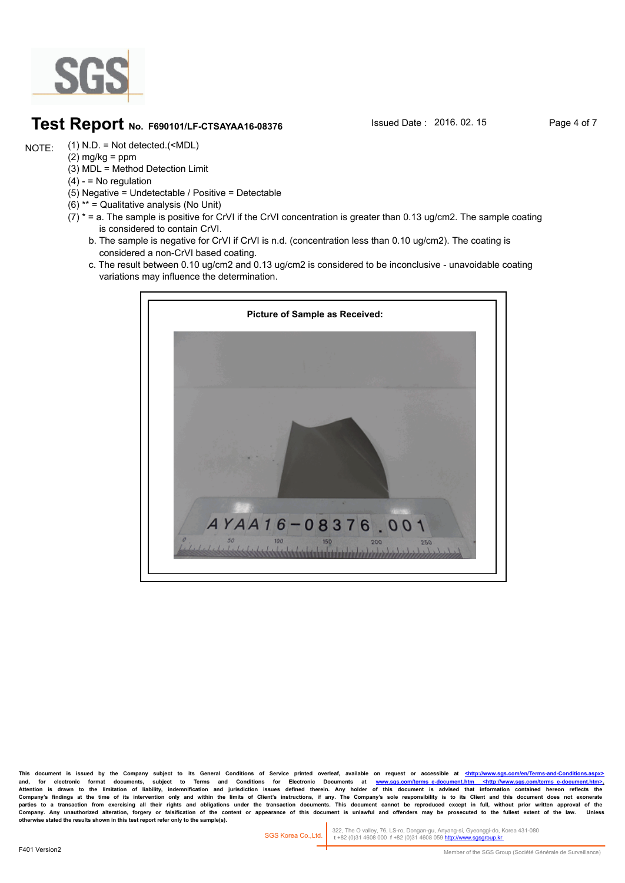

### **Test Report** No. F690101/LF-CTSAYAA16-08376 **Issued Date : 2016. 02. 15** Page 4 of 7

(1) N.D. = Not detected.(<MDL) NOTE:

- $(2)$  mg/kg = ppm (3) MDL = Method Detection Limit
- $(4) -$  = No regulation
- (5) Negative = Undetectable / Positive = Detectable
- (6) \*\* = Qualitative analysis (No Unit)
- $(7)$  \* = a. The sample is positive for CrVI if the CrVI concentration is greater than 0.13 ug/cm2. The sample coating is considered to contain CrVI.
	- b. The sample is negative for CrVI if CrVI is n.d. (concentration less than 0.10 ug/cm2). The coating is considered a non-CrVI based coating.
	- c. The result between 0.10 ug/cm2 and 0.13 ug/cm2 is considered to be inconclusive unavoidable coating variations may influence the determination.



This document is issued by the Company subject to its General Conditions of Service printed overleaf, available on request or accessible at <http://www. and, for electronic format documents, subject to Terms and Conditions for Electronic Documents at <u>www.sgs.com/terms\_e-document.htm <http://www.sgs.com/terms\_e-document.htm>-</u><br>Attention is drawn to the limitation of liabil Company's findings at the time of its intervention only and within the limits of Client's instructions, if any. The Company's sole responsibility is to its Client and this document does not exonerate<br>parties to a transacti Company. Any unauthorized alteration, forgery or falsification of the content or appearance of this document is unlawful and offenders may be prosecuted to the fullest extent of the law.<br>otherwise stated the results shown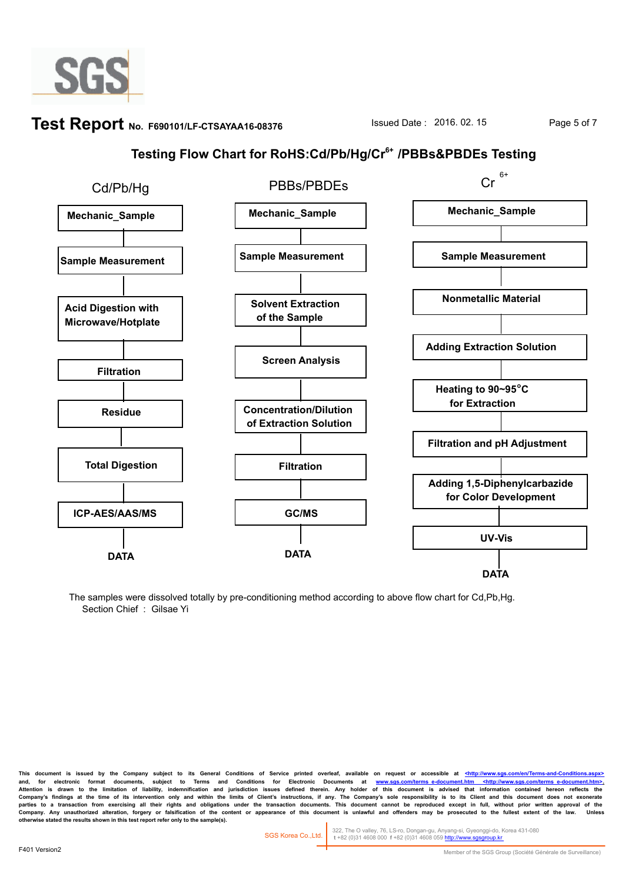

# **Test Report** No. F690101/LF-CTSAYAA16-08376 **ISSued Date : 2016. 02. 15** Page 5 of 7

## **Testing Flow Chart for RoHS:Cd/Pb/Hg/Cr6+ /PBBs&PBDEs Testing**



The samples were dissolved totally by pre-conditioning method according to above flow chart for Cd,Pb,Hg. Section Chief : Gilsae Yi

This document is issued by the Company subject to its General Conditions of Service printed overleaf, available on request or accessible at <http://www.sgs and, for electronic format documents, subject to Terms and Conditions for Electronic Documents at <u>www.sgs.com/terms\_e-document.htm <http://www.sgs.com/terms\_e-document.htm>-</u><br>Attention is drawn to the limitation of liabil Company's findings at the time of its intervention only and within the limits of Client's instructions, if any. The Company's sole responsibility is to its Client and this document does not exonerate<br>parties to a transacti Company. Any unauthorized alteration, forgery or faisification of the content or appearance of this document is unlawful and offenders may be prosecuted to the fullest extent of the law.<br>otherwise stated the results shown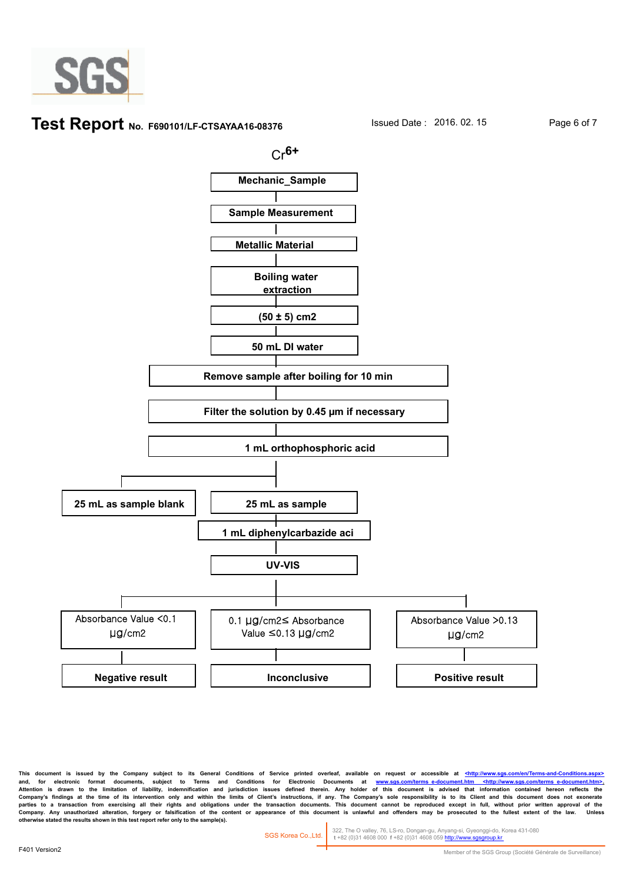

#### **Test Report** No. F690101/LF-CTSAYAA16-08376 **Issued Date : 2016. 02. 15** Page 6 of 7



This document is issued by the Company subject to its General Conditions of Service printed overleaf, available on request or accessible at <http://www. and, for electronic format documents, subject to Terms and Conditions for Electronic Documents at <u>www.sgs.com/terms\_e-document.htm <http://www.sgs.com/terms\_e-document.htm>-</u><br>Attention is drawn to the limitation of liabil Company's findings at the time of its intervention only and within the limits of Client's instructions, if any. The Company's sole responsibility is to its Client and this document does not exonerate<br>parties to a transacti Company. Any unauthorized alteration, forgery or faisification of the content or appearance of this document is unlawful and offenders may be prosecuted to the fullest extent of the law.<br>otherwise stated the results shown